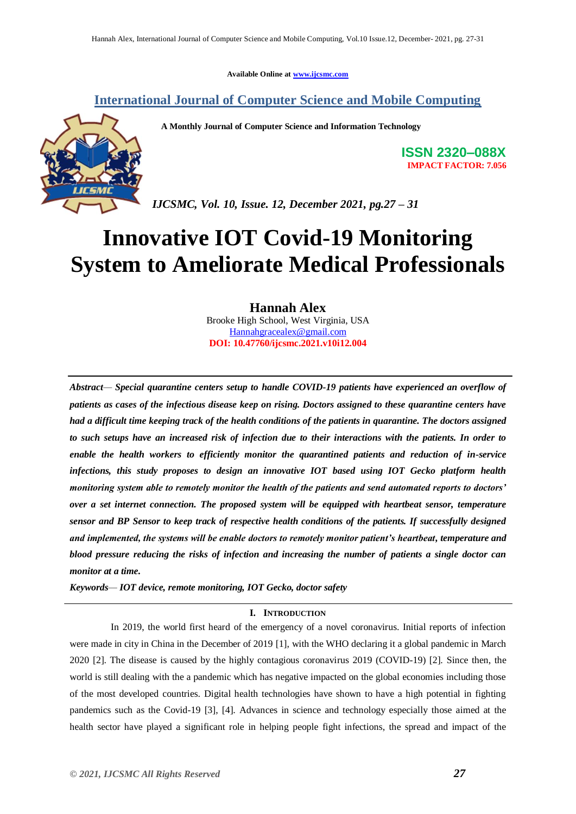**Available Online at [www.ijcsmc.com](http://www.ijcsmc.com/)**

### **International Journal of Computer Science and Mobile Computing**



 **A Monthly Journal of Computer Science and Information Technology**

**ISSN 2320–088X IMPACT FACTOR: 7.056**

*IJCSMC, Vol. 10, Issue. 12, December 2021, pg.27 – 31*

# **Innovative IOT Covid-19 Monitoring System to Ameliorate Medical Professionals**

**Hannah Alex**

Brooke High School, West Virginia, USA [Hannahgracealex@gmail.com](mailto:Hannahgracealex@gmail.com) **DOI: 10.47760/ijcsmc.2021.v10i12.004**

*Abstract— Special quarantine centers setup to handle COVID-19 patients have experienced an overflow of patients as cases of the infectious disease keep on rising. Doctors assigned to these quarantine centers have had a difficult time keeping track of the health conditions of the patients in quarantine. The doctors assigned to such setups have an increased risk of infection due to their interactions with the patients. In order to enable the health workers to efficiently monitor the quarantined patients and reduction of in-service infections, this study proposes to design an innovative IOT based using IOT Gecko platform health monitoring system able to remotely monitor the health of the patients and send automated reports to doctors' over a set internet connection. The proposed system will be equipped with heartbeat sensor, temperature sensor and BP Sensor to keep track of respective health conditions of the patients. If successfully designed and implemented, the systems will be enable doctors to remotely monitor patient's heartbeat, temperature and blood pressure reducing the risks of infection and increasing the number of patients a single doctor can monitor at a time.*

*Keywords— IOT device, remote monitoring, IOT Gecko, doctor safety*

#### **I. INTRODUCTION**

In 2019, the world first heard of the emergency of a novel coronavirus. Initial reports of infection were made in city in China in the December of 2019 [1], with the WHO declaring it a global pandemic in March 2020 [2]. The disease is caused by the highly contagious coronavirus 2019 (COVID-19) [2]. Since then, the world is still dealing with the a pandemic which has negative impacted on the global economies including those of the most developed countries. Digital health technologies have shown to have a high potential in fighting pandemics such as the Covid-19 [3], [4]. Advances in science and technology especially those aimed at the health sector have played a significant role in helping people fight infections, the spread and impact of the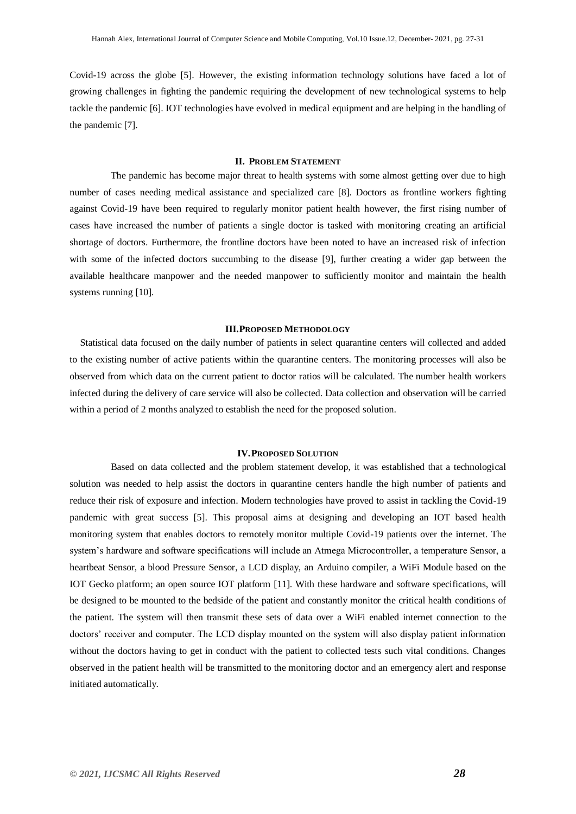Covid-19 across the globe [5]. However, the existing information technology solutions have faced a lot of growing challenges in fighting the pandemic requiring the development of new technological systems to help tackle the pandemic [6]. IOT technologies have evolved in medical equipment and are helping in the handling of the pandemic [7].

#### **II. PROBLEM STATEMENT**

The pandemic has become major threat to health systems with some almost getting over due to high number of cases needing medical assistance and specialized care [8]. Doctors as frontline workers fighting against Covid-19 have been required to regularly monitor patient health however, the first rising number of cases have increased the number of patients a single doctor is tasked with monitoring creating an artificial shortage of doctors. Furthermore, the frontline doctors have been noted to have an increased risk of infection with some of the infected doctors succumbing to the disease [9], further creating a wider gap between the available healthcare manpower and the needed manpower to sufficiently monitor and maintain the health systems running [10].

#### **III.PROPOSED METHODOLOGY**

Statistical data focused on the daily number of patients in select quarantine centers will collected and added to the existing number of active patients within the quarantine centers. The monitoring processes will also be observed from which data on the current patient to doctor ratios will be calculated. The number health workers infected during the delivery of care service will also be collected. Data collection and observation will be carried within a period of 2 months analyzed to establish the need for the proposed solution.

#### **IV.PROPOSED SOLUTION**

Based on data collected and the problem statement develop, it was established that a technological solution was needed to help assist the doctors in quarantine centers handle the high number of patients and reduce their risk of exposure and infection. Modern technologies have proved to assist in tackling the Covid-19 pandemic with great success [5]. This proposal aims at designing and developing an IOT based health monitoring system that enables doctors to remotely monitor multiple Covid-19 patients over the internet. The system's hardware and software specifications will include an Atmega Microcontroller, a temperature Sensor, a heartbeat Sensor, a blood Pressure Sensor, a LCD display, an Arduino compiler, a WiFi Module based on the IOT Gecko platform; an open source IOT platform [11]. With these hardware and software specifications, will be designed to be mounted to the bedside of the patient and constantly monitor the critical health conditions of the patient. The system will then transmit these sets of data over a WiFi enabled internet connection to the doctors' receiver and computer. The LCD display mounted on the system will also display patient information without the doctors having to get in conduct with the patient to collected tests such vital conditions. Changes observed in the patient health will be transmitted to the monitoring doctor and an emergency alert and response initiated automatically.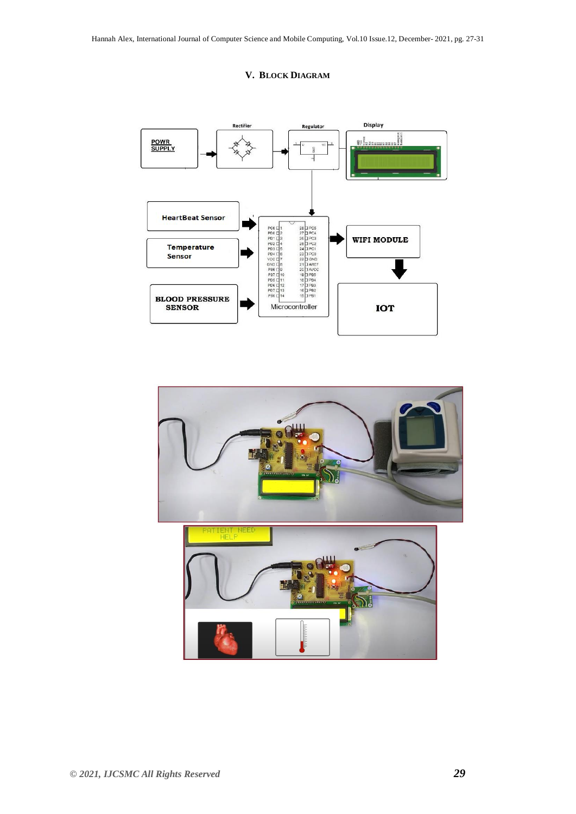



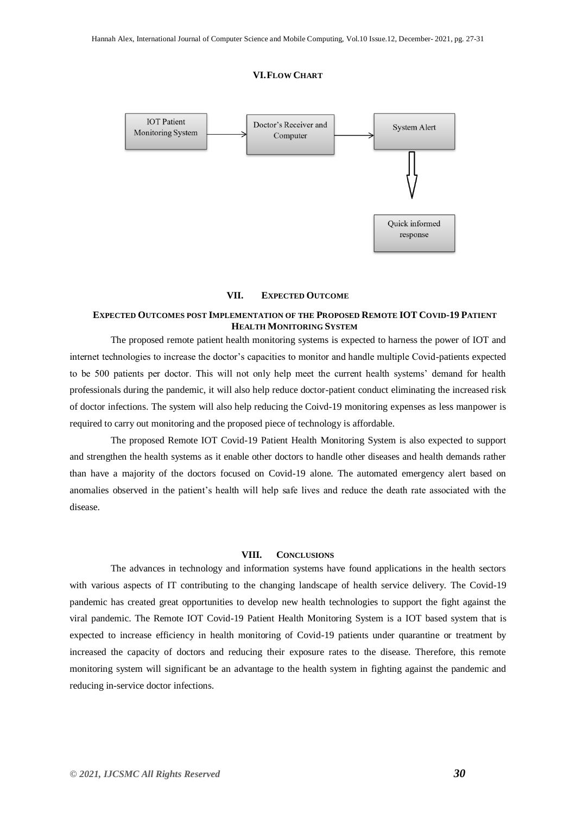#### **VI.FLOW CHART**



#### **VII. EXPECTED OUTCOME**

#### **EXPECTED OUTCOMES POST IMPLEMENTATION OF THE PROPOSED REMOTE IOT COVID-19 PATIENT HEALTH MONITORING SYSTEM**

The proposed remote patient health monitoring systems is expected to harness the power of IOT and internet technologies to increase the doctor's capacities to monitor and handle multiple Covid-patients expected to be 500 patients per doctor. This will not only help meet the current health systems' demand for health professionals during the pandemic, it will also help reduce doctor-patient conduct eliminating the increased risk of doctor infections. The system will also help reducing the Coivd-19 monitoring expenses as less manpower is required to carry out monitoring and the proposed piece of technology is affordable.

The proposed Remote IOT Covid-19 Patient Health Monitoring System is also expected to support and strengthen the health systems as it enable other doctors to handle other diseases and health demands rather than have a majority of the doctors focused on Covid-19 alone. The automated emergency alert based on anomalies observed in the patient's health will help safe lives and reduce the death rate associated with the disease.

#### **VIII. CONCLUSIONS**

The advances in technology and information systems have found applications in the health sectors with various aspects of IT contributing to the changing landscape of health service delivery. The Covid-19 pandemic has created great opportunities to develop new health technologies to support the fight against the viral pandemic. The Remote IOT Covid-19 Patient Health Monitoring System is a IOT based system that is expected to increase efficiency in health monitoring of Covid-19 patients under quarantine or treatment by increased the capacity of doctors and reducing their exposure rates to the disease. Therefore, this remote monitoring system will significant be an advantage to the health system in fighting against the pandemic and reducing in-service doctor infections.